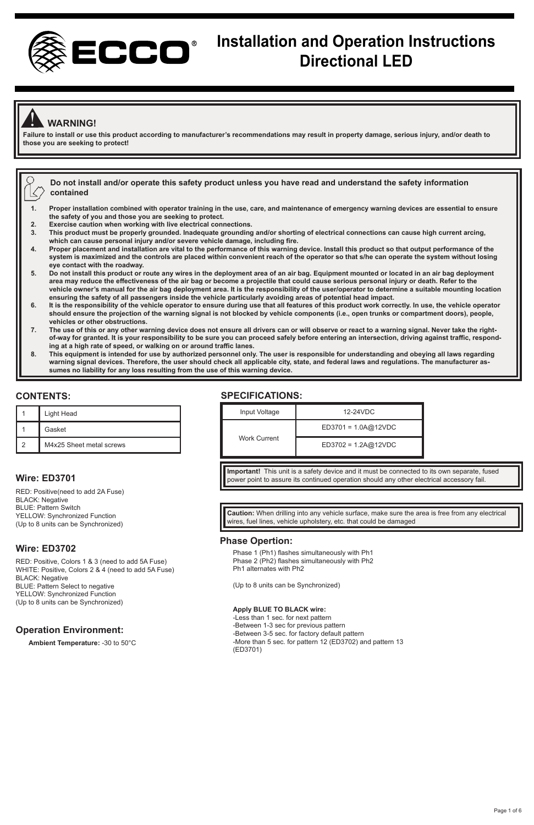

# **Installation and Operation Instructions Directional LED**

# ! **WARNING!**

**Failure to install or use this product according to manufacturer's recommendations may result in property damage, serious injury, and/or death to those you are seeking to protect!** 

|  | $^{\prime}$ $_{\sim}$ Do not install and/or operate this safety product unless you have read and understand the safety information. |
|--|-------------------------------------------------------------------------------------------------------------------------------------|
|  | $\langle \rangle$ contained                                                                                                         |

- **1. Proper installation combined with operator training in the use, care, and maintenance of emergency warning devices are essential to ensure the safety of you and those you are seeking to protect.**
- **2. Exercise caution when working with live electrical connections.**
- **3. This product must be properly grounded. Inadequate grounding and/or shorting of electrical connections can cause high current arcing, which can cause personal injury and/or severe vehicle damage, including fire.**
- **4. Proper placement and installation are vital to the performance of this warning device. Install this product so that output performance of the system is maximized and the controls are placed within convenient reach of the operator so that s/he can operate the system without losing eye contact with the roadway.**
- **5. Do not install this product or route any wires in the deployment area of an air bag. Equipment mounted or located in an air bag deployment area may reduce the effectiveness of the air bag or become a projectile that could cause serious personal injury or death. Refer to the**  vehicle owner's manual for the air bag deployment area. It is the responsibility of the user/operator to determine a suitable mounting location<br>ensuring the safety of all passengers inside the vehicle particularly avoiding
- **should ensure the projection of the warning signal is not blocked by vehicle components (i.e., open trunks or compartment doors), people, vehicles or other obstructions.**
- **7. The use of this or any other warning device does not ensure all drivers can or will observe or react to a warning signal. Never take the rightof-way for granted. It is your responsibility to be sure you can proceed safely before entering an intersection, driving against traffic, responding at a high rate of speed, or walking on or around traffic lanes.**
- **8. This equipment is intended for use by authorized personnel only. The user is responsible for understanding and obeying all laws regarding warning signal devices. Therefore, the user should check all applicable city, state, and federal laws and regulations. The manufacturer assumes no liability for any loss resulting from the use of this warning device.**

#### **CONTENTS:**

| Light Head               |
|--------------------------|
| Gasket                   |
| M4x25 Sheet metal screws |

#### **Wire: ED3701**

RED: Positive(need to add 2A Fuse) BLACK: Negative BLUE: Pattern Switch YELLOW: Synchronized Function (Up to 8 units can be Synchronized)

#### **Wire: ED3702**

RED: Positive, Colors 1 & 3 (need to add 5A Fuse) WHITE: Positive, Colors 2 & 4 (need to add 5A Fuse) BLACK: Negative BLUE: Pattern Select to negative YELLOW: Synchronized Function (Up to 8 units can be Synchronized)

#### **Operation Environment:**

**Ambient Temperature:** -30 to 50°C

## **SPECIFICATIONS:**



**Important!** This unit is a safety device and it must be connected to its own separate, fused power point to assure its continued operation should any other electrical accessory fail.

**Caution:** When drilling into any vehicle surface, make sure the area is free from any electrical wires, fuel lines, vehicle upholstery, etc. that could be damaged

#### **Phase Opertion:**

Phase 1 (Ph1) flashes simultaneously with Ph1 Phase 2 (Ph2) flashes simultaneously with Ph2 Ph1 alternates with Ph2

(Up to 8 units can be Synchronized)

#### **Apply BLUE TO BLACK wire:**

-Less than 1 sec. for next pattern -Between 1-3 sec for previous pattern -Between 3-5 sec. for factory default pattern -More than 5 sec. for pattern 12 (ED3702) and pattern 13 (ED3701)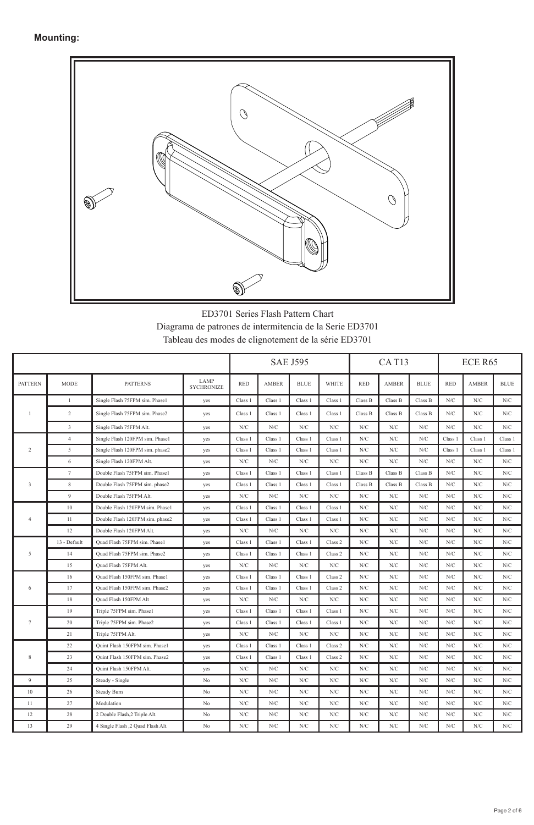

ED3701 Series Flash Pattern Chart Diagrama de patrones de intermitencia de la Serie ED3701 Tableau des modes de clignotement de la série ED3701

|                         |                         |                                   |                           |            |              | <b>SAE J595</b> |              |            | CAT13        |             |             | ECE R65      |             |
|-------------------------|-------------------------|-----------------------------------|---------------------------|------------|--------------|-----------------|--------------|------------|--------------|-------------|-------------|--------------|-------------|
| <b>PATTERN</b>          | <b>MODE</b>             | <b>PATTERNS</b>                   | LAMP<br><b>SYCHRONIZE</b> | <b>RED</b> | <b>AMBER</b> | <b>BLUE</b>     | <b>WHITE</b> | <b>RED</b> | <b>AMBER</b> | <b>BLUE</b> | <b>RED</b>  | <b>AMBER</b> | <b>BLUE</b> |
|                         | $\mathbf{1}$            | Single Flash 75FPM sim. Phase1    | yes                       | Class 1    | Class 1      | Class 1         | Class 1      | Class B    | Class B      | Class B     | N/C         | N/C          | N/C         |
| $\mathbf{1}$            | $\,2\,$                 | Single Flash 75FPM sim. Phase2    | yes                       | Class 1    | Class 1      | Class 1         | Class 1      | Class B    | Class B      | Class B     | N/C         | N/C          | N/C         |
|                         | $\overline{\mathbf{3}}$ | Single Flash 75FPM Alt.           | yes                       | N/C        | N/C          | N/C             | N/C          | N/C        | N/C          | N/C         | N/C         | N/C          | N/C         |
|                         | $\overline{4}$          | Single Flash 120FPM sim. Phase1   | yes                       | Class 1    | Class 1      | Class 1         | Class 1      | N/C        | N/C          | N/C         | Class 1     | Class 1      | Class 1     |
| $\overline{2}$          | 5                       | Single Flash 120FPM sim. phase2   | yes                       | Class 1    | Class 1      | Class 1         | Class 1      | N/C        | N/C          | N/C         | Class 1     | Class 1      | Class 1     |
|                         | 6                       | Single Flash 120FPM Alt.          | yes                       | N/C        | N/C          | N/C             | N/C          | N/C        | N/C          | N/C         | N/C         | N/C          | N/C         |
|                         | 7                       | Double Flash 75FPM sim. Phase1    | yes                       | Class 1    | Class 1      | Class 1         | Class 1      | Class B    | Class B      | Class B     | N/C         | N/C          | N/C         |
| $\overline{\mathbf{3}}$ | $\,$ 8 $\,$             | Double Flash 75FPM sim. phase2    | yes                       | Class 1    | Class 1      | Class 1         | Class 1      | Class B    | Class B      | Class B     | N/C         | N/C          | N/C         |
|                         | $\overline{9}$          | Double Flash 75FPM Alt.           | yes                       | N/C        | N/C          | N/C             | N/C          | N/C        | N/C          | N/C         | N/C         | N/C          | N/C         |
|                         | 10                      | Double Flash 120FPM sim. Phase1   | yes                       | Class 1    | Class 1      | Class 1         | Class 1      | N/C        | N/C          | N/C         | N/C         | N/C          | N/C         |
| $\overline{4}$          | 11                      | Double Flash 120FPM sim. phase2   | yes                       | Class 1    | Class 1      | Class 1         | Class 1      | N/C        | N/C          | N/C         | N/C         | N/C          | N/C         |
|                         | 12                      | Double Flash 120FPM Alt.          | yes                       | N/C        | N/C          | N/C             | N/C          | N/C        | N/C          | N/C         | N/C         | N/C          | N/C         |
|                         | 13 - Default            | Quad Flash 75FPM sim. Phase1      | yes                       | Class 1    | Class 1      | Class 1         | Class 2      | N/C        | N/C          | N/C         | N/C         | N/C          | N/C         |
| 5                       | 14                      | Quad Flash 75FPM sim. Phase2      | yes                       | Class 1    | Class 1      | Class 1         | Class 2      | N/C        | N/C          | N/C         | N/C         | N/C          | N/C         |
|                         | 15                      | Quad Flash 75FPM Alt.             | yes                       | N/C        | N/C          | N/C             | N/C          | N/C        | N/C          | N/C         | N/C         | N/C          | N/C         |
|                         | 16                      | Quad Flash 150FPM sim. Phase1     | yes                       | Class 1    | Class 1      | Class 1         | Class 2      | N/C        | N/C          | N/C         | N/C         | N/C          | N/C         |
| 6                       | 17                      | Quad Flash 150FPM sim. Phase2     | yes                       | Class 1    | Class 1      | Class 1         | Class 2      | N/C        | N/C          | N/C         | N/C         | N/C          | N/C         |
|                         | 18                      | Quad Flash 150FPM Alt             | yes                       | N/C        | N/C          | N/C             | N/C          | N/C        | N/C          | ${\rm N/C}$ | ${\rm N/C}$ | ${\rm N/C}$  | N/C         |
|                         | 19                      | Triple 75FPM sim. Phase1          | yes                       | Class 1    | Class 1      | Class 1         | Class 1      | N/C        | N/C          | N/C         | N/C         | N/C          | N/C         |
| $\tau$                  | 20                      | Triple 75FPM sim. Phase2          | yes                       | Class 1    | Class 1      | Class 1         | Class 1      | N/C        | N/C          | N/C         | N/C         | N/C          | N/C         |
|                         | 21                      | Triple 75FPM Alt.                 | yes                       | N/C        | N/C          | N/C             | N/C          | N/C        | N/C          | N/C         | N/C         | N/C          | N/C         |
|                         | 22                      | Quint Flash 150FPM sim. Phase1    | yes                       | Class 1    | Class 1      | Class 1         | Class 2      | N/C        | N/C          | N/C         | N/C         | N/C          | N/C         |
| $\,$ 8 $\,$             | 23                      | Quint Flash 150FPM sim. Phase2    | yes                       | Class 1    | Class 1      | Class 1         | Class 2      | N/C        | N/C          | N/C         | N/C         | N/C          | N/C         |
|                         | 24                      | Ouint Flash 150FPM Alt.           | yes                       | N/C        | N/C          | N/C             | N/C          | N/C        | N/C          | N/C         | N/C         | N/C          | N/C         |
| $\overline{9}$          | 25                      | Steady - Single                   | No                        | N/C        | N/C          | N/C             | N/C          | N/C        | N/C          | N/C         | N/C         | N/C          | N/C         |
| 10                      | 26                      | Steady Burn                       | No                        | N/C        | N/C          | N/C             | N/C          | N/C        | N/C          | N/C         | N/C         | N/C          | N/C         |
| 11                      | 27                      | Modulation                        | No                        | N/C        | N/C          | N/C             | N/C          | N/C        | N/C          | N/C         | N/C         | N/C          | N/C         |
| 12                      | 28                      | 2 Double Flash, 2 Triple Alt.     | No                        | N/C        | N/C          | N/C             | N/C          | N/C        | N/C          | N/C         | N/C         | N/C          | N/C         |
| 13                      | 29                      | 4 Single Flash ,2 Quad Flash Alt. | No                        | N/C        | N/C          | N/C             | N/C          | N/C        | N/C          | N/C         | N/C         | N/C          | N/C         |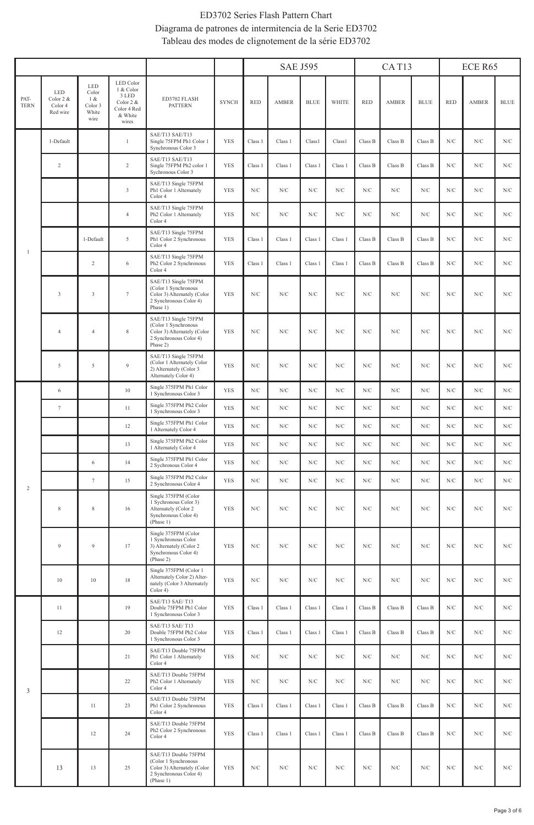# ED3702 Series Flash Pattern Chart Diagrama de patrones de intermitencia de la Serie ED3702 Tableau des modes de clignotement de la série ED3702

|                     |                                         |                                                 |                                                                                            |                                                                                                                    |              |             | <b>SAE J595</b> |                       |                    | CAT <sub>13</sub> |                |             | ECE R65     |             |                       |
|---------------------|-----------------------------------------|-------------------------------------------------|--------------------------------------------------------------------------------------------|--------------------------------------------------------------------------------------------------------------------|--------------|-------------|-----------------|-----------------------|--------------------|-------------------|----------------|-------------|-------------|-------------|-----------------------|
| PAT-<br><b>TERN</b> | LED<br>Color 2 &<br>Color 4<br>Red wire | LED<br>Color<br>1 &<br>Color 3<br>White<br>wire | LED Color<br>1 & Color<br>$3$ LED<br>Color 2 &<br>Color 4 Red<br>& White<br>$\mbox{wires}$ | ED3702 FLASH<br><b>PATTERN</b>                                                                                     | <b>SYNCH</b> | <b>RED</b>  | AMBER           | $\operatorname{BLUE}$ | <b>WHITE</b>       | <b>RED</b>        | AMBER          | <b>BLUE</b> | <b>RED</b>  | AMBER       | $\operatorname{BLUE}$ |
|                     | 1-Default                               |                                                 | $\mathbf{1}$                                                                               | SAE/T13 SAE/T13<br>Single 75FPM Ph1 Color 1<br>Synchronous Color 3                                                 | <b>YES</b>   | Class 1     | Class 1         | Class <sub>1</sub>    | Class <sub>1</sub> | Class B           | Class B        | Class B     | N/C         | ${\rm N/C}$ | N/C                   |
|                     | $\overline{2}$                          |                                                 | $\overline{2}$                                                                             | SAE/T13 SAE/T13<br>Single 75FPM Ph2 color 1<br>Sychronous Color 3                                                  | <b>YES</b>   | Class 1     | Class 1         | Class 1               | Class 1            | $\rm Class~B$     | $\rm Class\,B$ | Class B     | N/C         | N/C         | N/C                   |
|                     |                                         |                                                 | $\sqrt{3}$                                                                                 | SAE/T13 Single 75FPM<br>Ph1 Color 1 Alternately<br>Color 4                                                         | <b>YES</b>   | N/C         | N/C             | N/C                   | N/C                | N/C               | N/C            | N/C         | N/C         | N/C         | N/C                   |
|                     |                                         |                                                 | $\overline{4}$                                                                             | SAE/T13 Single 75FPM<br>Ph2 Color 1 Alternately<br>Color 4                                                         | <b>YES</b>   | N/C         | N/C             | N/C                   | N/C                | N/C               | N/C            | N/C         | N/C         | N/C         | N/C                   |
| $\mathbf{I}$        |                                         | 1-Default                                       | $\sqrt{2}$                                                                                 | SAE/T13 Single 75FPM<br>Ph1 Color 2 Synchronous<br>Color 4                                                         | YES          | Class 1     | Class 1         | Class 1               | Class 1            | Class B           | Class B        | Class B     | ${\rm N/C}$ | ${\rm N/C}$ | N/C                   |
|                     |                                         | $\sqrt{2}$                                      | 6                                                                                          | SAE/T13 Single 75FPM<br>Ph2 Color 2 Synchronous<br>Color 4                                                         | YES          | Class 1     | Class 1         | Class 1               | Class 1            | Class B           | Class B        | Class B     | ${\rm N/C}$ | ${\rm N/C}$ | N/C                   |
|                     | 3                                       | $\sqrt{3}$                                      | $\tau$                                                                                     | SAE/T13 Single 75FPM<br>(Color 1 Synchronous<br>Color 3) Alternately (Color<br>2 Synchronous Color 4)<br>Phase 1)  | <b>YES</b>   | ${\rm N/C}$ | ${\rm N/C}$     | ${\rm N/C}$           | ${\rm N/C}$        | ${\rm N/C}$       | N/C            | ${\rm N/C}$ | ${\rm N/C}$ | ${\rm N/C}$ | ${\rm N/C}$           |
|                     | $\overline{4}$                          | $\overline{4}$                                  | $\,$ 8 $\,$                                                                                | SAE/T13 Single 75FPM<br>(Color 1 Synchronous<br>Color 3) Alternately (Color<br>2 Synchronous Color 4)<br>Phase 2)  | <b>YES</b>   | N/C         | N/C             | ${\rm N/C}$           | N/C                | N/C               | N/C            | N/C         | N/C         | N/C         | ${\rm N/C}$           |
|                     | 5                                       | 5                                               | 9                                                                                          | SAE/T13 Single 75FPM<br>(Color 1 Alternately Color<br>2) Alternately (Color 3<br>Alternately Color 4)              | <b>YES</b>   | N/C         | N/C             | ${\rm N/C}$           | ${\rm N/C}$        | ${\rm N/C}$       | N/C            | N/C         | N/C         | N/C         | ${\rm N/C}$           |
|                     | 6                                       |                                                 | $10\,$                                                                                     | Single 375FPM Ph1 Color<br>1 Synchronous Color 3                                                                   | <b>YES</b>   | N/C         | N/C             | N/C                   | N/C                | N/C               | N/C            | N/C         | N/C         | N/C         | N/C                   |
|                     | $\tau$                                  |                                                 | 11                                                                                         | Single 375FPM Ph2 Color<br>1 Synchronous Color 3                                                                   | <b>YES</b>   | ${\rm N/C}$ | ${\rm N/C}$     | N/C                   | ${\rm N/C}$        | N/C               | N/C            | N/C         | N/C         | N/C         | ${\rm N/C}$           |
|                     |                                         |                                                 | 12                                                                                         | Single 375FPM Ph1 Color<br>1 Alternately Color 4                                                                   | <b>YES</b>   | N/C         | N/C             | N/C                   | N/C                | N/C               | N/C            | ${\rm N/C}$ | N/C         | N/C         | N/C                   |
|                     |                                         |                                                 | 13                                                                                         | Single 375FPM Ph2 Color<br>1 Alternately Color 4                                                                   | <b>YES</b>   | N/C         | N/C             | N/C                   | N/C                | N/C               | N/C            | N/C         | N/C         | N/C         | N/C                   |
|                     |                                         | 6                                               | 14                                                                                         | Single 375FPM Ph1 Color<br>2 Sychronous Color 4                                                                    | YES          | ${\rm N/C}$ | N/C             | N/C                   | ${\rm N/C}$        | ${\rm N/C}$       | N/C            | ${\rm N/C}$ | N/C         | ${\rm N/C}$ | ${\rm N/C}$           |
| $\,2$               |                                         | $\tau$                                          | 15                                                                                         | Single 375FPM Ph2 Color<br>2 Synchronous Color 4                                                                   | <b>YES</b>   | ${\rm N/C}$ | N/C             | N/C                   | N/C                | ${\rm N/C}$       | N/C            | ${\rm N/C}$ | N/C         | N/C         | N/C                   |
|                     | $\,$ 8 $\,$                             | 8                                               | 16                                                                                         | Single 375FPM (Color<br>1 Sychronous Color 3)<br>Alternately (Color 2<br>Synchronous Color 4)<br>(Phase 1)         | <b>YES</b>   | ${\rm N/C}$ | ${\rm N/C}$     | ${\rm N/C}$           | ${\rm N/C}$        | ${\rm N/C}$       | ${\rm N/C}$    | ${\rm N/C}$ | ${\rm N/C}$ | ${\rm N/C}$ | ${\rm N/C}$           |
|                     | $\overline{9}$                          | $\overline{9}$                                  | 17                                                                                         | Single 375FPM (Color<br>1 Synchronous Color<br>3) Alternately (Color 2<br>Synchronous Color 4)<br>(Phase 2)        | <b>YES</b>   | ${\rm N/C}$ | ${\rm N/C}$     | ${\rm N/C}$           | ${\rm N/C}$        | ${\rm N/C}$       | N/C            | N/C         | N/C         | N/C         | ${\rm N/C}$           |
|                     | 10                                      | $10\,$                                          | $18\,$                                                                                     | Single 375FPM (Color 1<br>Alternately Color 2) Alter-<br>nately (Color 3 Alternately<br>Color 4)                   | <b>YES</b>   | ${\rm N/C}$ | ${\rm N/C}$     | ${\rm N/C}$           | ${\rm N/C}$        | ${\rm N/C}$       | ${\rm N/C}$    | ${\rm N/C}$ | ${\rm N/C}$ | ${\rm N/C}$ | ${\rm N/C}$           |
|                     | 11                                      |                                                 | 19                                                                                         | SAE/T13 SAE/T13<br>Double 75FPM Ph1 Color<br>1 Synchronous Color 3                                                 | <b>YES</b>   | Class 1     | Class 1         | Class 1               | Class 1            | Class B           | Class B        | Class B     | N/C         | N/C         | N/C                   |
|                     | 12                                      |                                                 | 20                                                                                         | SAE/T13 SAE/T13<br>Double 75FPM Ph2 Color<br>1 Synchronous Color 3                                                 | <b>YES</b>   | Class 1     | Class 1         | Class 1               | Class 1            | Class B           | Class B        | Class B     | N/C         | N/C         | N/C                   |
|                     |                                         |                                                 | 21                                                                                         | SAE/T13 Double 75FPM<br>Ph1 Color 1 Alternately<br>Color 4                                                         | <b>YES</b>   | ${\rm N/C}$ | N/C             | N/C                   | N/C                | ${\rm N/C}$       | N/C            | ${\rm N/C}$ | N/C         | N/C         | N/C                   |
| 3                   |                                         |                                                 | 22                                                                                         | SAE/T13 Double 75FPM<br>Ph <sub>2</sub> Color 1 Alternately<br>Color 4                                             | <b>YES</b>   | N/C         | N/C             | N/C                   | N/C                | N/C               | N/C            | N/C         | N/C         | N/C         | N/C                   |
|                     |                                         | 11                                              | 23                                                                                         | SAE/T13 Double 75FPM<br>Ph1 Color 2 Synchronous<br>Color 4                                                         | <b>YES</b>   | Class 1     | Class 1         | Class 1               | Class 1            | Class B           | $\rm Class~B$  | Class B     | N/C         | N/C         | ${\rm N/C}$           |
|                     |                                         | 12                                              | 24                                                                                         | SAE/T13 Double 75FPM<br>Ph <sub>2</sub> Color 2 Synchronous<br>Color 4                                             | <b>YES</b>   | Class 1     | Class 1         | Class 1               | Class 1            | Class B           | Class B        | Class B     | ${\rm N/C}$ | ${\rm N/C}$ | ${\rm N/C}$           |
|                     | 13                                      | 13                                              | $25\,$                                                                                     | SAE/T13 Double 75FPM<br>(Color 1 Synchronous<br>Color 3) Alternately (Color<br>2 Synchronous Color 4)<br>(Phase 1) | <b>YES</b>   | ${\rm N/C}$ | ${\rm N/C}$     | ${\rm N/C}$           | ${\rm N/C}$        | ${\rm N/C}$       | ${\rm N/C}$    | ${\rm N/C}$ | ${\rm N/C}$ | ${\rm N/C}$ | ${\rm N/C}$           |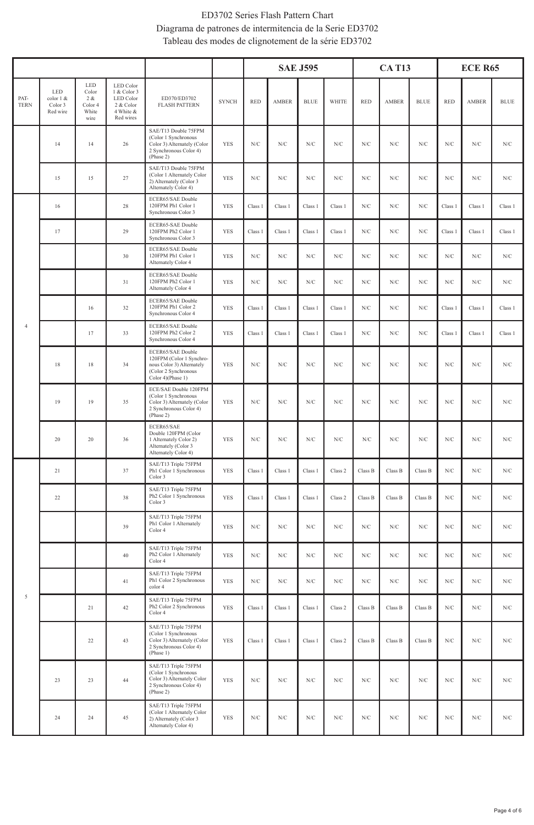# ED3702 Series Flash Pattern Chart Diagrama de patrones de intermitencia de la Serie ED3702 Tableau des modes de clignotement de la série ED3702

|                     |                                          |                                                 |                                                                              |                                                                                                                         |              |                         |                    | <b>SAE J595</b>    |                    |             | <b>CAT13</b> |                       | <b>ECE R65</b>     |                    |                    |
|---------------------|------------------------------------------|-------------------------------------------------|------------------------------------------------------------------------------|-------------------------------------------------------------------------------------------------------------------------|--------------|-------------------------|--------------------|--------------------|--------------------|-------------|--------------|-----------------------|--------------------|--------------------|--------------------|
| PAT-<br><b>TERN</b> | LED.<br>color 1 &<br>Color 3<br>Red wire | LED<br>Color<br>2 &<br>Color 4<br>White<br>wire | LED Color<br>1 & Color 3<br>LED Color<br>2 & Color<br>4 White &<br>Red wires | ED370/ED3702<br><b>FLASH PATTERN</b>                                                                                    | <b>SYNCH</b> | $\mathop{\mathsf{RED}}$ | AMBER              | <b>BLUE</b>        | <b>WHITE</b>       | <b>RED</b>  | AMBER        | $\operatorname{BLUE}$ | <b>RED</b>         | AMBER              | <b>BLUE</b>        |
|                     | 14                                       | 14                                              | 26                                                                           | SAE/T13 Double 75FPM<br>(Color 1 Synchronous<br>Color 3) Alternately (Color<br>2 Synchronous Color 4)<br>(Phase 2)      | <b>YES</b>   | N/C                     | N/C                | N/C                | N/C                | N/C         | N/C          | N/C                   | ${\rm N/C}$        | N/C                | N/C                |
|                     | 15                                       | 15                                              | 27                                                                           | SAE/T13 Double 75FPM<br>(Color 1 Alternately Color<br>2) Alternately (Color 3<br>Alternately Color 4)                   | <b>YES</b>   | ${\rm N/C}$             | N/C                | N/C                | N/C                | ${\rm N/C}$ | N/C          | N/C                   | N/C                | N/C                | N/C                |
|                     | 16                                       |                                                 | 28                                                                           | <b>ECER65/SAE Double</b><br>120FPM Ph1 Color 1<br>Synchronous Color 3                                                   | <b>YES</b>   | Class 1                 | Class 1            | Class 1            | Class 1            | N/C         | N/C          | N/C                   | Class 1            | Class 1            | Class 1            |
|                     | $17\,$                                   |                                                 | 29                                                                           | ECER65-SAE Double<br>120FPM Ph2 Color 1<br>Synchronous Color 3                                                          | <b>YES</b>   | Class 1                 | Class 1            | Class 1            | Class 1            | N/C         | ${\rm N/C}$  | N/C                   | Class 1            | Class 1            | Class 1            |
|                     |                                          |                                                 | 30                                                                           | ECER65/SAE Double<br>120FPM Ph1 Color 1<br>Alternately Color 4                                                          | <b>YES</b>   | N/C                     | N/C                | N/C                | N/C                | N/C         | N/C          | N/C                   | N/C                | N/C                | N/C                |
|                     |                                          |                                                 | $3\,1$                                                                       | ECER65/SAE Double<br>120FPM Ph2 Color 1<br>Alternately Color 4                                                          | <b>YES</b>   | N/C                     | N/C                | N/C                | N/C                | N/C         | N/C          | N/C                   | N/C                | N/C                | N/C                |
|                     |                                          | 16                                              | 32                                                                           | ECER65/SAE Double<br>120FPM Ph1 Color 2<br>Synchronous Color 4                                                          | <b>YES</b>   | Class 1                 | Class 1            | Class 1            | Class 1            | N/C         | N/C          | N/C                   | Class 1            | Class 1            | Class 1            |
| $\overline{4}$      |                                          | 17                                              | 33                                                                           | ECER65/SAE Double<br>120FPM Ph2 Color 2<br>Synchronous Color 4                                                          | <b>YES</b>   | Class <sub>1</sub>      | Class <sub>1</sub> | Class <sub>1</sub> | Class <sub>1</sub> | N/C         | N/C          | N/C                   | Class <sub>1</sub> | Class <sub>1</sub> | Class <sub>1</sub> |
|                     | 18                                       | 18                                              | 34                                                                           | ECER65/SAE Double<br>120FPM (Color 1 Synchro-<br>nous Color 3) Alternately<br>(Color 2 Synchronous<br>Color 4)(Phase 1) | <b>YES</b>   | N/C                     | N/C                | N/C                | N/C                | N/C         | N/C          | N/C                   | N/C                | N/C                | N/C                |
|                     | 19                                       | 19                                              | 35                                                                           | ECE/SAE Double 120FPM<br>(Color 1 Synchronous<br>Color 3) Alternately (Color<br>2 Synchronous Color 4)<br>(Phase 2)     | <b>YES</b>   | ${\rm N/C}$             | ${\rm N/C}$        | ${\rm N/C}$        | ${\rm N/C}$        | ${\rm N/C}$ | ${\rm N/C}$  | ${\rm N/C}$           | ${\rm N/C}$        | ${\rm N/C}$        | N/C                |
|                     | 20                                       | 20                                              | 36                                                                           | ECER65/SAE<br>Double 120FPM (Color<br>1 Alternately Color 2)<br>Alternately (Color 3<br>Alternately Color 4)            | <b>YES</b>   | N/C                     | N/C                | N/C                | N/C                | ${\rm N/C}$ | N/C          | N/C                   | N/C                | ${\rm N/C}$        | N/C                |
|                     | $21\,$                                   |                                                 | 37                                                                           | SAE/T13 Triple 75FPM<br>Ph1 Color 1 Synchronous<br>Color 3                                                              | <b>YES</b>   | Class 1                 | Class 1            | Class 1            | Class 2            | Class B     | Class B      | Class B               | N/C                | N/C                | N/C                |
|                     | 22                                       |                                                 | 38                                                                           | SAE/T13 Triple 75FPM<br>Ph <sub>2</sub> Color 1 Synchronous<br>Color 3                                                  | <b>YES</b>   | Class 1                 | Class 1            | Class 1            | Class 2            | Class B     | Class B      | Class B               | N/C                | N/C                | N/C                |
|                     |                                          |                                                 | 39                                                                           | SAE/T13 Triple 75FPM<br>Ph1 Color 1 Alternately<br>Color 4                                                              | <b>YES</b>   | N/C                     | N/C                | $_{\mathrm{N/C}}$  | N/C                | ${\rm N/C}$ | N/C          | N/C                   | ${\rm N/C}$        | N/C                | N/C                |
|                     |                                          |                                                 | $40\,$                                                                       | SAE/T13 Triple 75FPM<br>Ph <sub>2</sub> Color 1 Alternately<br>Color 4                                                  | <b>YES</b>   | N/C                     | N/C                | N/C                | N/C                | N/C         | N/C          | N/C                   | N/C                | N/C                | N/C                |
|                     |                                          |                                                 | $41\,$                                                                       | SAE/T13 Triple 75FPM<br>Ph1 Color 2 Synchronous<br>color 4                                                              | <b>YES</b>   | N/C                     | N/C                | N/C                | N/C                | N/C         | N/C          | N/C                   | N/C                | N/C                | N/C                |
| $\mathfrak s$       |                                          | $2\sqrt{1}$                                     | $42\,$                                                                       | SAE/T13 Triple 75FPM<br>Ph <sub>2</sub> Color 2 Synchronous<br>Color 4                                                  | <b>YES</b>   | Class 1                 | Class 1            | Class 1            | Class 2            | Class B     | Class B      | Class B               | N/C                | N/C                | N/C                |
|                     |                                          | 22                                              | 43                                                                           | SAE/T13 Triple 75FPM<br>(Color 1 Synchronous<br>Color 3) Alternately (Color<br>2 Synchronous Color 4)<br>(Phase 1)      | <b>YES</b>   | Class 1                 | Class 1            | Class 1            | Class 2            | Class B     | Class B      | Class B               | N/C                | N/C                | N/C                |
|                     | 23                                       | 23                                              | 44                                                                           | SAE/T13 Triple 75FPM<br>(Color 1 Synchronous<br>Color 3) Alternately Color<br>2 Synchronous Color 4)<br>(Phase 2)       | <b>YES</b>   | N/C                     | N/C                | N/C                | N/C                | N/C         | N/C          | N/C                   | N/C                | N/C                | N/C                |
|                     | 24                                       | $\sqrt{24}$                                     | 45                                                                           | SAE/T13 Triple 75FPM<br>(Color 1 Alternately Color<br>2) Alternately (Color 3<br>Alternately Color 4)                   | YES          | ${\rm N/C}$             | N/C                | ${\rm N/C}$        | ${\rm N/C}$        | ${\rm N/C}$ | ${\rm N/C}$  | ${\rm N/C}$           | ${\rm N/C}$        | ${\rm N/C}$        | N/C                |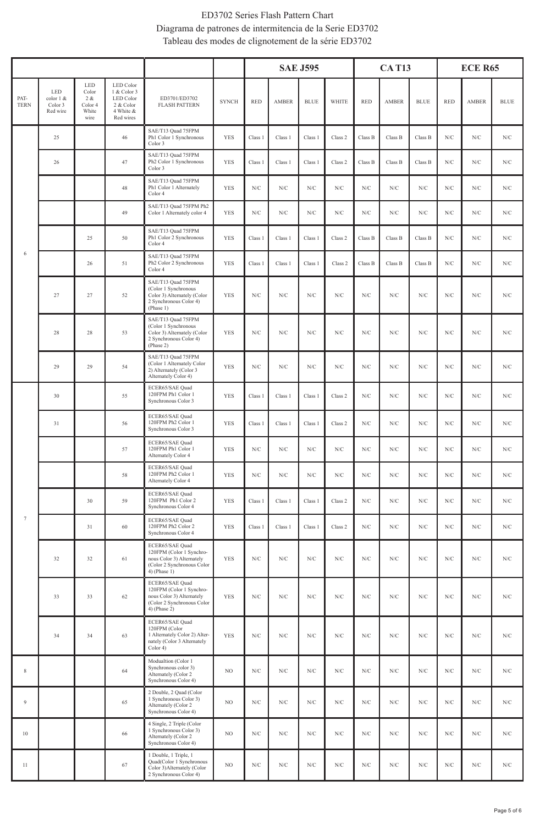# ED3702 Series Flash Pattern Chart Diagrama de patrones de intermitencia de la Serie ED3702 Tableau des modes de clignotement de la série ED3702

|                     |                                         |                                                     |                                                                                |                                                                                                                          |                |             |              | <b>SAE J595</b> |              |             | <b>CAT13</b> |             |             | <b>ECE R65</b> |             |
|---------------------|-----------------------------------------|-----------------------------------------------------|--------------------------------------------------------------------------------|--------------------------------------------------------------------------------------------------------------------------|----------------|-------------|--------------|-----------------|--------------|-------------|--------------|-------------|-------------|----------------|-------------|
| PAT-<br><b>TERN</b> | LED<br>color 1 &<br>Color 3<br>Red wire | LED<br>Color<br>$2\,$ &<br>Color 4<br>White<br>wire | LED Color<br>1 & Color 3<br>LED Color<br>$2$ & Color<br>4 White &<br>Red wires | ED3701/ED3702<br><b>FLASH PATTERN</b>                                                                                    | <b>SYNCH</b>   | <b>RED</b>  | <b>AMBER</b> | <b>BLUE</b>     | <b>WHITE</b> | <b>RED</b>  | AMBER        | <b>BLUE</b> | <b>RED</b>  | AMBER          | <b>BLUE</b> |
|                     | $25\,$                                  |                                                     | $46$                                                                           | SAE/T13 Quad 75FPM<br>Ph1 Color 1 Synchronous<br>Color 3                                                                 | <b>YES</b>     | Class 1     | Class 1      | Class 1         | Class 2      | Class B     | Class B      | Class B     | ${\rm N/C}$ | N/C            | ${\rm N/C}$ |
|                     | 26                                      |                                                     | 47                                                                             | SAE/T13 Quad 75FPM<br>Ph <sub>2</sub> Color 1 Synchronous<br>Color 3                                                     | <b>YES</b>     | Class 1     | Class 1      | Class 1         | Class 2      | Class B     | Class B      | Class B     | N/C         | N/C            | ${\rm N/C}$ |
|                     |                                         |                                                     | 48                                                                             | SAE/T13 Quad 75FPM<br>Ph1 Color 1 Alternately<br>Color 4                                                                 | YES            | ${\rm N/C}$ | N/C          | ${\rm N/C}$     | N/C          | N/C         | N/C          | ${\rm N/C}$ | N/C         | N/C            | ${\rm N/C}$ |
|                     |                                         |                                                     | 49                                                                             | SAE/T13 Quad 75FPM Ph2<br>Color 1 Alternately color 4                                                                    | <b>YES</b>     | N/C         | N/C          | N/C             | N/C          | N/C         | N/C          | N/C         | N/C         | N/C            | N/C         |
|                     |                                         | 25                                                  | 50                                                                             | SAE/T13 Quad 75FPM<br>Ph1 Color 2 Synchronous<br>Color 4                                                                 | YES            | Class 1     | Class 1      | Class 1         | Class 2      | Class B     | Class B      | Class B     | ${\rm N/C}$ | N/C            | ${\rm N/C}$ |
| 6                   |                                         | 26                                                  | 51                                                                             | SAE/T13 Quad 75FPM<br>Ph <sub>2</sub> Color 2 Synchronous<br>Color 4                                                     | <b>YES</b>     | Class 1     | Class 1      | Class 1         | Class 2      | Class B     | Class B      | Class B     | N/C         | N/C            | ${\rm N/C}$ |
|                     | 27                                      | 27                                                  | 52                                                                             | SAE/T13 Quad 75FPM<br>(Color 1 Synchronous<br>Color 3) Alternately (Color<br>2 Synchronous Color 4)<br>(Phase 1)         | <b>YES</b>     | ${\rm N/C}$ | N/C          | ${\rm N/C}$     | N/C          | ${\rm N/C}$ | ${\rm N/C}$  | ${\rm N/C}$ | ${\rm N/C}$ | ${\rm N/C}$    | ${\rm N/C}$ |
|                     | $28\,$                                  | $28\,$                                              | 53                                                                             | SAE/T13 Quad 75FPM<br>(Color 1 Synchronous<br>Color 3) Alternately (Color<br>2 Synchronous Color 4)<br>(Phase 2)         | <b>YES</b>     | ${\rm N/C}$ | ${\rm N/C}$  | ${\rm N/C}$     | ${\rm N/C}$  | ${\rm N/C}$ | ${\rm N/C}$  | ${\rm N/C}$ | ${\rm N/C}$ | ${\rm N/C}$    | ${\rm N/C}$ |
|                     | 29                                      | 29                                                  | 54                                                                             | SAE/T13 Quad 75FPM<br>(Color 1 Alternately Color<br>2) Alternately (Color 3<br>Alternately Color 4)                      | <b>YES</b>     | N/C         | N/C          | N/C             | N/C          | N/C         | N/C          | N/C         | N/C         | N/C            | ${\rm N/C}$ |
|                     | 30                                      |                                                     | 55                                                                             | ECER65/SAE Quad<br>120FPM Ph1 Color 1<br>Synchronous Color 3                                                             | YES            | Class 1     | Class 1      | Class 1         | Class 2      | N/C         | ${\rm N/C}$  | ${\rm N/C}$ | ${\rm N/C}$ | N/C            | ${\rm N/C}$ |
|                     | 31                                      |                                                     | 56                                                                             | ECER65/SAE Quad<br>120FPM Ph <sub>2</sub> Color 1<br>Synchronous Color 3                                                 | <b>YES</b>     | Class 1     | Class 1      | Class 1         | Class 2      | ${\rm N/C}$ | ${\rm N/C}$  | ${\rm N/C}$ | ${\rm N/C}$ | ${\rm N/C}$    | ${\rm N/C}$ |
|                     |                                         |                                                     | 57                                                                             | ECER65/SAE Quad<br>120FPM Ph1 Color 1<br>Alternately Color 4                                                             | <b>YES</b>     | N/C         | ${\rm N/C}$  | N/C             | N/C          | N/C         | N/C          | N/C         | N/C         | N/C            | ${\rm N/C}$ |
|                     |                                         |                                                     | 58                                                                             | ECER65/SAE Quad<br>120FPM Ph2 Color 1<br>Alternately Color 4                                                             | YES            | ${\rm N/C}$ | ${\rm N/C}$  | ${\rm N/C}$     | ${\rm N/C}$  | ${\rm N/C}$ | ${\rm N/C}$  | ${\rm N/C}$ | ${\rm N/C}$ | ${\rm N/C}$    | ${\rm N/C}$ |
|                     |                                         | 30                                                  | 59                                                                             | ECER65/SAE Quad<br>120FPM Ph1 Color 2<br>Synchronous Color 4                                                             | YES            | Class 1     | Class 1      | Class 1         | Class 2      | ${\rm N/C}$ | ${\rm N/C}$  | ${\rm N/C}$ | ${\rm N/C}$ | ${\rm N/C}$    | ${\rm N/C}$ |
| $\tau$              |                                         | 31                                                  | 60                                                                             | ECER65/SAE Quad<br>120FPM Ph <sub>2</sub> Color 2<br>Synchronous Color 4                                                 | YES            | Class 1     | Class 1      | Class 1         | Class 2      | ${\rm N/C}$ | ${\rm N/C}$  | ${\rm N/C}$ | ${\rm N/C}$ | ${\rm N/C}$    | ${\rm N/C}$ |
|                     | $32\,$                                  | 32                                                  | 61                                                                             | ECER65/SAE Quad<br>120FPM (Color 1 Synchro-<br>nous Color 3) Alternately<br>(Color 2 Synchronous Color<br>4) (Phase 1)   | <b>YES</b>     | ${\rm N/C}$ | ${\rm N/C}$  | ${\rm N/C}$     | ${\rm N/C}$  | ${\rm N/C}$ | N/C          | N/C         | N/C         | N/C            | ${\rm N/C}$ |
|                     | 33                                      | 33                                                  | 62                                                                             | ECER65/SAE Quad<br>120FPM (Color 1 Synchro-<br>nous Color 3) Alternately<br>(Color 2 Synchronous Color<br>$4)$ (Phase 2) | <b>YES</b>     | ${\rm N/C}$ | ${\rm N/C}$  | ${\rm N/C}$     | ${\rm N/C}$  | ${\rm N/C}$ | ${\rm N/C}$  | ${\rm N/C}$ | ${\rm N/C}$ | ${\rm N/C}$    | ${\rm N/C}$ |
|                     | 34                                      | 34                                                  | 63                                                                             | ECER65/SAE Quad<br>120FPM (Color<br>1 Alternately Color 2) Alter-<br>nately (Color 3 Alternately<br>Color 4)             | <b>YES</b>     | ${\rm N/C}$ | ${\rm N/C}$  | ${\rm N/C}$     | ${\rm N/C}$  | ${\rm N/C}$ | ${\rm N/C}$  | ${\rm N/C}$ | ${\rm N/C}$ | ${\rm N/C}$    | ${\rm N/C}$ |
| $\,$ 8 $\,$         |                                         |                                                     | 64                                                                             | Modualtion (Color 1<br>Synchronous color 3)<br>Alternately (Color 2<br>Synchronous Color 4)                              | $_{\rm NO}$    | ${\rm N/C}$ | ${\rm N/C}$  | ${\rm N/C}$     | ${\rm N/C}$  | ${\rm N/C}$ | ${\rm N/C}$  | ${\rm N/C}$ | ${\rm N/C}$ | ${\rm N/C}$    | ${\rm N/C}$ |
| $\overline{9}$      |                                         |                                                     | 65                                                                             | 2 Double, 2 Quad (Color<br>1 Synchronous Color 3)<br>Alternately (Color 2<br>Synchronous Color 4)                        | NO.            | ${\rm N/C}$ | ${\rm N/C}$  | ${\rm N/C}$     | ${\rm N/C}$  | ${\rm N/C}$ | ${\rm N/C}$  | ${\rm N/C}$ | ${\rm N/C}$ | ${\rm N/C}$    | ${\rm N/C}$ |
| $10\,$              |                                         |                                                     | 66                                                                             | 4 Single, 2 Triple (Color<br>1 Synchronous Color 3)<br>Alternately (Color 2<br>Synchronous Color 4)                      | $_{\rm NO}$    | ${\rm N/C}$ | ${\rm N/C}$  | ${\rm N/C}$     | ${\rm N/C}$  | ${\rm N/C}$ | ${\rm N/C}$  | ${\rm N/C}$ | ${\rm N/C}$ | ${\rm N/C}$    | ${\rm N/C}$ |
| $11\,$              |                                         |                                                     | 67                                                                             | 1 Double, 1 Triple, 1<br>Quad(Color 1 Synchronous<br>Color 3) Alternately (Color<br>2 Synchronous Color 4)               | N <sub>O</sub> | ${\rm N/C}$ | ${\rm N/C}$  | ${\rm N/C}$     | ${\rm N/C}$  | ${\rm N/C}$ | ${\rm N/C}$  | ${\rm N/C}$ | ${\rm N/C}$ | ${\rm N/C}$    | ${\rm N/C}$ |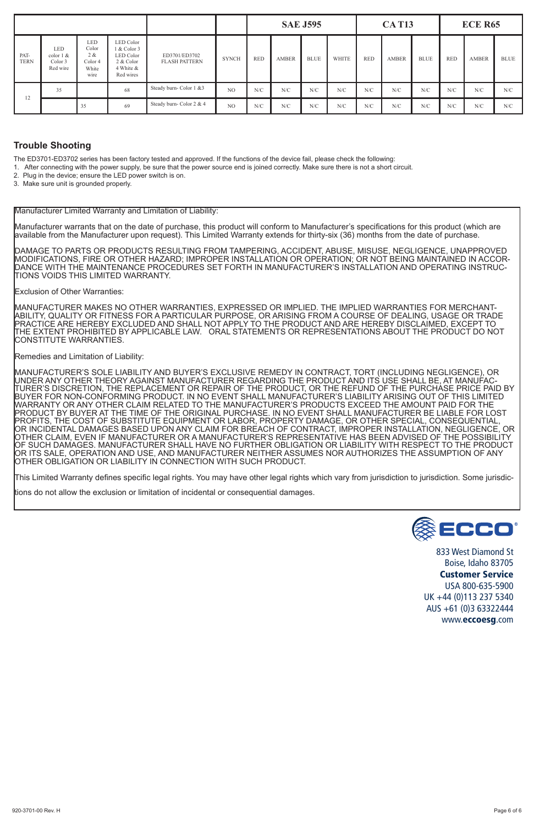|                     |                                                |                                                 |                                                                              |                                       |                |            |              | <b>SAE J595</b> |              |            | <b>CAT13</b> |             |            | <b>ECE R65</b> |             |
|---------------------|------------------------------------------------|-------------------------------------------------|------------------------------------------------------------------------------|---------------------------------------|----------------|------------|--------------|-----------------|--------------|------------|--------------|-------------|------------|----------------|-------------|
| PAT-<br><b>TERN</b> | <b>LED</b><br>color 1 &<br>Color 3<br>Red wire | LED<br>Color<br>2 &<br>Color 4<br>White<br>wire | LED Color<br>1 & Color 3<br>LED Color<br>2 & Color<br>4 White &<br>Red wires | ED3701/ED3702<br><b>FLASH PATTERN</b> | <b>SYNCH</b>   | <b>RED</b> | <b>AMBER</b> | <b>BLUE</b>     | <b>WHITE</b> | <b>RED</b> | <b>AMBER</b> | <b>BLUE</b> | <b>RED</b> | AMBER          | <b>BLUE</b> |
| 12                  | 35                                             |                                                 | 68                                                                           | Steady burn- Color 1 &3               | N <sub>O</sub> | N/C        | N/C          | N/C             | N/C          | N/C        | N/C          | N/C         | N/C        | N/C            | N/C         |
|                     |                                                | 35                                              | 69                                                                           | Steady burn- Color 2 & 4              | N <sub>O</sub> | N/C        | N/C          | N/C             | N/C          | N/C        | N/C          | N/C         | N/C        | N/C            | N/C         |

# **Trouble Shooting**

The ED3701-ED3702 series has been factory tested and approved. If the functions of the device fail, please check the following:

1. After connecting with the power supply, be sure that the power source end is joined correctly. Make sure there is not a short circuit.

2. Plug in the device; ensure the LED power switch is on.

3. Make sure unit is grounded properly.

Manufacturer Limited Warranty and Limitation of Liability:

Manufacturer warrants that on the date of purchase, this product will conform to Manufacturer's specifications for this product (which are available from the Manufacturer upon request). This Limited Warranty extends for thirty-six (36) months from the date of purchase.

DAMAGE TO PARTS OR PRODUCTS RESULTING FROM TAMPERING, ACCIDENT, ABUSE, MISUSE, NEGLIGENCE, UNAPPROVED MODIFICATIONS, FIRE OR OTHER HAZARD; IMPROPER INSTALLATION OR OPERATION; OR NOT BEING MAINTAINED IN ACCOR-DANCE WITH THE MAINTENANCE PROCEDURES SET FORTH IN MANUFACTURER'S INSTALLATION AND OPERATING INSTRUC-TIONS VOIDS THIS LIMITED WARRANTY.

Exclusion of Other Warranties:

MANUFACTURER MAKES NO OTHER WARRANTIES, EXPRESSED OR IMPLIED. THE IMPLIED WARRANTIES FOR MERCHANT-ABILITY, QUALITY OR FITNESS FOR A PARTICULAR PURPOSE, OR ARISING FROM A COURSE OF DEALING, USAGE OR TRADE PRACTICE ARE HEREBY EXCLUDED AND SHALL NOT APPLY TO THE PRODUCT AND ARE HEREBY DISCLAIMED, EXCEPT TO THE EXTENT PROHIBITED BY APPLICABLE LAW. ORAL STATEMENTS OR REPRESENTATIONS ABOUT THE PRODUCT DO NOT CONSTITUTE WARRANTIES.

#### Remedies and Limitation of Liability:

MANUFACTURER'S SOLE LIABILITY AND BUYER'S EXCLUSIVE REMEDY IN CONTRACT, TORT (INCLUDING NEGLIGENCE), OR UNDER ANY OTHER THEORY AGAINST MANUFACTURER REGARDING THE PRODUCT AND ITS USE SHALL BE, AT MANUFAC-TURER'S DISCRETION, THE REPLACEMENT OR REPAIR OF THE PRODUCT, OR THE REFUND OF THE PURCHASE PRICE PAID BY BUYER FOR NON-CONFORMING PRODUCT. IN NO EVENT SHALL MANUFACTURER'S LIABILITY ARISING OUT OF THIS LIMITED WARRANTY OR ANY OTHER CLAIM RELATED TO THE MANUFACTURER'S PRODUCTS EXCEED THE AMOUNT PAID FOR THE PRODUCT BY BUYER AT THE TIME OF THE ORIGINAL PURCHASE. IN NO EVENT SHALL MANUFACTURER BE LIABLE FOR LOST PROFITS, THE COST OF SUBSTITUTE EQUIPMENT OR LABOR, PROPERTY DAMAGE, OR OTHER SPECIAL, CONSEQUENTIAL, OR INCIDENTAL DAMAGES BASED UPON ANY CLAIM FOR BREACH OF CONTRACT, IMPROPER INSTALLATION, NEGLIGENCE, OR OTHER CLAIM, EVEN IF MANUFACTURER OR A MANUFACTURER'S REPRESENTATIVE HAS BEEN ADVISED OF THE POSSIBILITY OF SUCH DAMAGES. MANUFACTURER SHALL HAVE NO FURTHER OBLIGATION OR LIABILITY WITH RESPECT TO THE PRODUCT OR ITS SALE, OPERATION AND USE, AND MANUFACTURER NEITHER ASSUMES NOR AUTHORIZES THE ASSUMPTION OF ANY OTHER OBLIGATION OR LIABILITY IN CONNECTION WITH SUCH PRODUCT.

This Limited Warranty defines specific legal rights. You may have other legal rights which vary from jurisdiction to jurisdiction. Some jurisdic-

tions do not allow the exclusion or limitation of incidental or consequential damages.



833 West Diamond St Boise, Idaho 83705 Customer Service USA 800-635-5900 UK +44 (0)113 237 5340 AUS +61 (0)3 63322444 www.eccoesg.com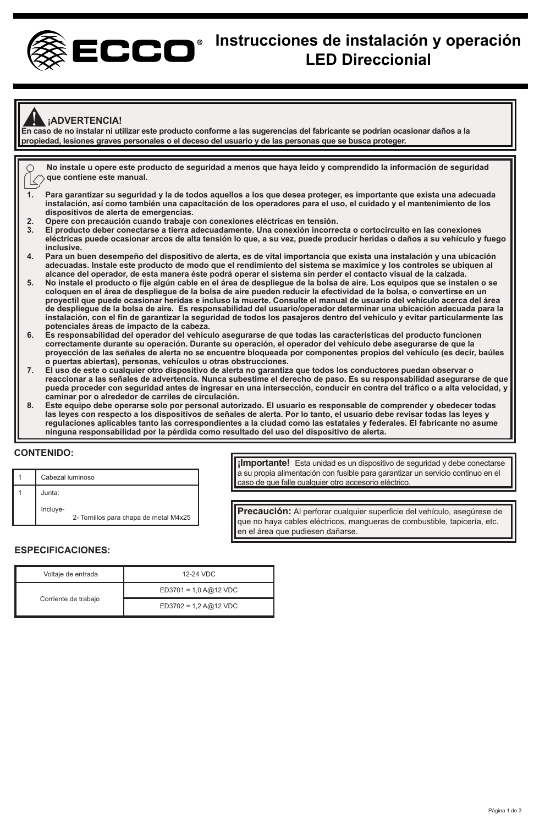

# **Instrucciones de instalación y operación LED Direccionial**

# **¡ADVERTENCIA!**

**En caso de no instalar ni utilizar este producto conforme a las sugerencias del fabricante se podrían ocasionar daños a la**  ! **propiedad, lesiones graves personales o el deceso del usuario y de las personas que se busca proteger.**

**No instale u opere este producto de seguridad a menos que haya leído y comprendido la información de seguridad z** que contiene este manual.

- **1. Para garantizar su seguridad y la de todos aquellos a los que desea proteger, es importante que exista una adecuada instalación, así como también una capacitación de los operadores para el uso, el cuidado y el mantenimiento de los dispositivos de alerta de emergencias.**
- **2. Opere con precaución cuando trabaje con conexiones eléctricas en tensión.**
- **3. El producto deber conectarse a tierra adecuadamente. Una conexión incorrecta o cortocircuito en las conexiones eléctricas puede ocasionar arcos de alta tensión lo que, a su vez, puede producir heridas o daños a su vehículo y fuego inclusive.**
- **4. Para un buen desempeño del dispositivo de alerta, es de vital importancia que exista una instalación y una ubicación adecuadas. Instale este producto de modo que el rendimiento del sistema se maximice y los controles se ubiquen al alcance del operador, de esta manera éste podrá operar el sistema sin perder el contacto visual de la calzada.**
- **5. No instale el producto o fije algún cable en el área de despliegue de la bolsa de aire. Los equipos que se instalen o se coloquen en el área de despliegue de la bolsa de aire pueden reducir la efectividad de la bolsa, o convertirse en un proyectil que puede ocasionar heridas e incluso la muerte. Consulte el manual de usuario del vehículo acerca del área de despliegue de la bolsa de aire. Es responsabilidad del usuario/operador determinar una ubicación adecuada para la instalación, con el fin de garantizar la seguridad de todos los pasajeros dentro del vehículo y evitar particularmente las potenciales áreas de impacto de la cabeza.**
- **6. Es responsabilidad del operador del vehículo asegurarse de que todas las características del producto funcionen correctamente durante su operación. Durante su operación, el operador del vehículo debe asegurarse de que la proyección de las señales de alerta no se encuentre bloqueada por componentes propios del vehículo (es decir, baúles o puertas abiertas), personas, vehículos u otras obstrucciones.**
- **7. El uso de este o cualquier otro dispositivo de alerta no garantiza que todos los conductores puedan observar o reaccionar a las señales de advertencia. Nunca subestime el derecho de paso. Es su responsabilidad asegurarse de que pueda proceder con seguridad antes de ingresar en una intersección, conducir en contra del tráfico o a alta velocidad, y caminar por o alrededor de carriles de circulación.**
- **8. Este equipo debe operarse solo por personal autorizado. El usuario es responsable de comprender y obedecer todas las leyes con respecto a los dispositivos de señales de alerta. Por lo tanto, el usuario debe revisar todas las leyes y regulaciones aplicables tanto las correspondientes a la ciudad como las estatales y federales. El fabricante no asume ninguna responsabilidad por la pérdida como resultado del uso del dispositivo de alerta.**

# **CONTENIDO:**

| Cabezal luminoso                                   |
|----------------------------------------------------|
| Junta:                                             |
| Incluye-<br>2- Tornillos para chapa de metal M4x25 |

**¡Importante!** Esta unidad es un dispositivo de seguridad y debe conectarse a su propia alimentación con fusible para garantizar un servicio continuo en el caso de que falle cualquier otro accesorio eléctrico.

**Precaución:** Al perforar cualquier superficie del vehículo, asegúrese de que no haya cables eléctricos, mangueras de combustible, tapicería, etc. en el área que pudiesen dañarse.

#### **ESPECIFICACIONES:**

| Voltaje de entrada   | 12-24 VDC               |
|----------------------|-------------------------|
|                      | $ED3701 = 1.0 A@12 VDC$ |
| Corriente de trabajo | $ED3702 = 1.2 A@12 VDC$ |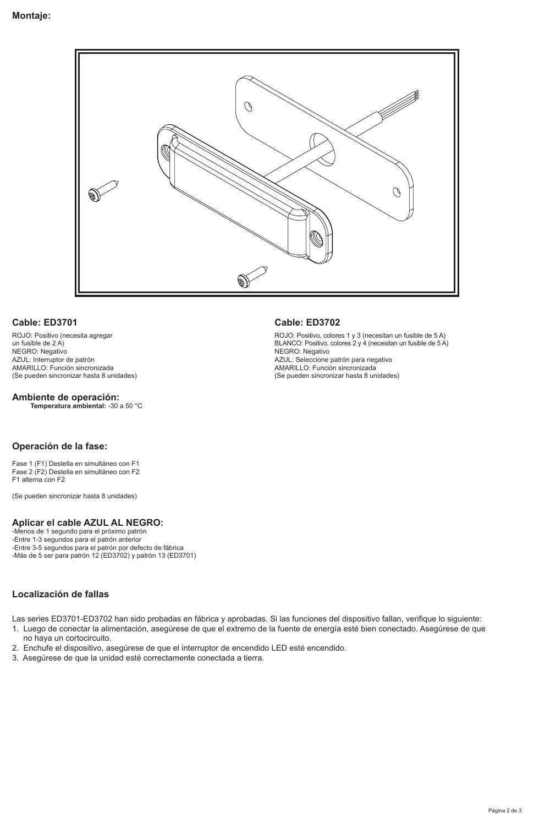

# **Cable: ED3701**

ROJO: Positivo (necesita agregar un fusible de 2 A) NEGRO: Negativo AZUL: Interruptor de patrón AMARILLO: Función sincronizada (Se pueden sincronizar hasta 8 unidades)

# **Ambiente de operación:**

**Temperatura ambiental:** -30 a 50 °C

# **Operación de la fase:**

Fase 1 (F1) Destella en simultáneo con F1 Fase 2 (F2) Destella en simultáneo con F2 F1 alterna con F2

(Se pueden sincronizar hasta 8 unidades)

# **Aplicar el cable AZUL AL NEGRO:**

-Menos de 1 segundo para el próximo patrón -Entre 1-3 segundos para el patrón anterior -Entre 3-5 segundos para el patrón por defecto de fábrica -Más de 5 ser para patrón 12 (ED3702) y patrón 13 (ED3701)

# **Localización de fallas**

Las series ED3701-ED3702 han sido probadas en fábrica y aprobadas. Si las funciones del dispositivo fallan, verifique lo siguiente:

- 1. Luego de conectar la alimentación, asegúrese de que el extremo de la fuente de energía esté bien conectado. Asegúrese de que no haya un cortocircuito.
- 2. Enchufe el dispositivo, asegúrese de que el interruptor de encendido LED esté encendido.
- 3. Asegúrese de que la unidad esté correctamente conectada a tierra.

#### **Cable: ED3702**

ROJO: Positivo, colores 1 y 3 (necesitan un fusible de 5 A) BLANCO: Positivo, colores 2 y 4 (necesitan un fusible de 5 A) NEGRO: Negativo AZUL: Seleccione patrón para negativo AMARILLO: Función sincronizada (Se pueden sincronizar hasta 8 unidades)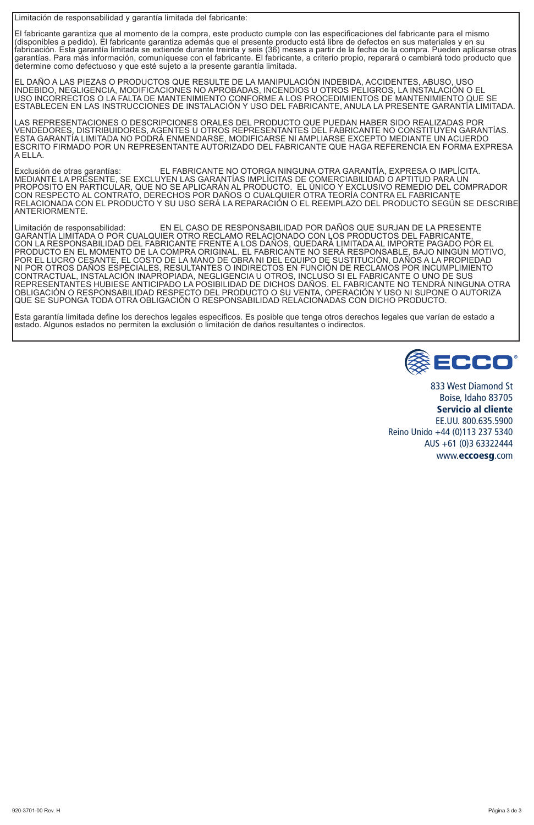Limitación de responsabilidad y garantía limitada del fabricante:

El fabricante garantiza que al momento de la compra, este producto cumple con las especificaciones del fabricante para el mismo<br>(disponibles a pedido). El fabricante garantiza además que el presente producto está libre de rabricación. Esta garantía limitada se extiende durante treinta y seis (36) meses a partir de la fecha de la compra. Pueden aplicarse otras<br>garantías. Para más información, comuníquese con el fabricante. El fabricante, a c determine como defectuoso y que esté sujeto a la presente garantía limitada.

EL DAÑO A LAS PIEZAS O PRODUCTOS QUE RESULTE DE LA MANIPULACIÓN INDEBIDA, ACCIDENTES, ABUSO, USO INDEBIDO, NEGLIGENCIA, MODIFICACIONES NO APROBADAS, INCENDIOS U OTROS PELIGROS, LA INSTALACIÓN O EL USO INCORRECTOS O LA FALTA DE MANTENIMIENTO CONFORME A LOS PROCEDIMIENTOS DE MANTENIMIENTO QUE SE<br>ESTABLECEN EN LAS INSTRUCCIONES DE INSTALACIÓN Y USO DEL FABRICANTE, ANULA LA PRESENTE GARANTÍA LIMITADA.

LAS REPRESENTACIONES O DESCRIPCIONES ORALES DEL PRODUCTO QUE PUEDAN HABER SIDO REALIZADAS POR<br>VENDEDORES, DISTRIBUIDORES, AGENTES U OTROS REPRESENTANTES DEL FABRICANTE NO CONSTITUYEN GARANTÍAS. ESCRITO FIRMADO POR UN REPRESENTANTE AUTORIZADO DEL FABRICANTE QUE HAGA REFERENCIA EN FORMA EXPRESA<br>A FI I A

Exclusión de otras garantías: EL FABRICANTE NO OTORGA NINGUNA OTRA GARANTÍA, EXPRESA O IMPLÍCITA. MEDIANTE LA PRESENTE, SE EXCLUYEN LAS GARANTÍAS IMPLÍCITAS DE COMERCIABILIDAD O APTITUD PARA UN PROPOSITO EN PARTICULAR, QUE NO SE APLICARAN AL PRODUCTO. EL UNICO Y EXCLUSIVO REMEDIO DEL COMPRADOR<br>CON RESPECTO AL CONTRATO, DERECHOS POR DAÑOS O CUALQUIER OTRA TEORÍA CONTRA EL FABRICANTE RELACIONADA CON EL PRODUCTO Y SU USO SERÁ LA REPARACIÓN O EL REEMPLAZO DEL PRODUCTO SEGÚN SE DESCRIBE ANTERIORMENTE.

Limitación de responsabilidad: EN EL CASO DE RESPONSABILIDAD POR DAÑOS QUE SURJAN DE LA PRESENTE GARANTÍA LIMITADA O POR CUALQUIER OTRO RECLAMO RELACIONADO CON LOS PRODUCTOS DEL FABRICANTE, CON LA RESPONSABILIDAD DEL FABRICANTE FRENTE A LOS DANOS, QUEDARA LIMITADA AL IMPORTE PAGADO POR EL<br>PRODUCTO EN LA MOMENTO DE LA COMPRA ORIGINAL. EL FABRICANTE NO SERÁ RESPONSABLE, BAJO NINGÚN MOTIVO,<br>POR EL LUCRO CESANTE, QUE SE SUPONGA TODA OTRA OBLIGACIÓN O RESPONSABILIDAD RELACIONADAS CON DICHO PRODUCTO.

Esta garantía limitada define los derechos legales específicos. Es posible que tenga otros derechos legales que varían de estado a<br>estado. Algunos estados no permiten la exclusión o limitación de daños resultantes o indire



833 West Diamond St Boise, Idaho 83705 Servicio al cliente EE.UU. 800.635.5900 Reino Unido +44 (0)113 237 5340 AUS +61 (0)3 63322444 www.eccoesg.com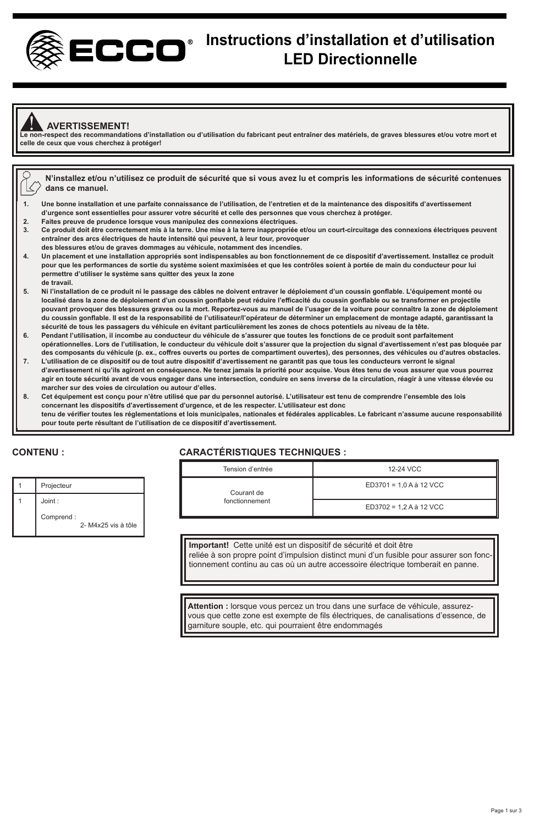

# **Instructions d'installation et d'utilisation LED Directionnelle**

#### ! **AVERTISSEMENT!**

**Le non-respect des recommandations d'installation ou d'utilisation du fabricant peut entraîner des matériels, de graves blessures et/ou votre mort et celle de ceux que vous cherchez à protéger!**

|    | N'installez et/ou n'utilisez ce produit de sécurité que si vous avez lu et compris les informations de sécurité contenues<br>dans ce manuel.    |
|----|-------------------------------------------------------------------------------------------------------------------------------------------------|
| 1. | Une bonne installation et une parfaite connaissance de l'utilisation, de l'entretien et de la maintenance des dispositifs d'avertissement       |
|    | d'urgence sont essentielles pour assurer votre sécurité et celle des personnes que vous cherchez à protéger.                                    |
| 2. | Faites preuve de prudence lorsque vous manipulez des connexions électriques.                                                                    |
| 3. | Ce produit doit être correctement mis à la terre. Une mise à la terre inappropriée et/ou un court-circuitage des connexions électriques peuvent |
|    | entraîner des arcs électriques de haute intensité qui peuvent, à leur tour, provoquer                                                           |
|    | des blessures et/ou de graves dommages au véhicule, notamment des incendies.                                                                    |
| 4. | Un placement et une installation appropriés sont indispensables au bon fonctionnement de ce dispositif d'avertissement. Installez ce produit    |
|    | pour que les performances de sortie du système soient maximisées et que les contrôles soient à portée de main du conducteur pour lui            |
|    | permettre d'utiliser le système sans quitter des yeux la zone                                                                                   |
|    | de travail.                                                                                                                                     |
| 5. | Ni l'installation de ce produit ni le passage des câbles ne doivent entraver le déploiement d'un coussin gonflable. L'équipement monté ou       |
|    | localisé dans la zone de déploiement d'un coussin gonflable peut réduire l'efficacité du coussin gonflable ou se transformer en proiectile      |
|    |                                                                                                                                                 |

- **pouvant provoquer des blessures graves ou la mort. Reportez-vous au manuel de l'usager de la voiture pour connaître la zone de déploiement du coussin gonflable. Il est de la responsabilité de l'utilisateur/l'opérateur de déterminer un emplacement de montage adapté, garantissant la sécurité de tous les passagers du véhicule en évitant particulièrement les zones de chocs potentiels au niveau de la tête.**
- **6. Pendant l'utilisation, il incombe au conducteur du véhicule de s'assurer que toutes les fonctions de ce produit sont parfaitement opérationnelles. Lors de l'utilisation, le conducteur du véhicule doit s'assurer que la projection du signal d'avertissement n'est pas bloquée par des composants du véhicule (p. ex., coffres ouverts ou portes de compartiment ouvertes), des personnes, des véhicules ou d'autres obstacles.**
- **7. L'utilisation de ce dispositif ou de tout autre dispositif d'avertissement ne garantit pas que tous les conducteurs verront le signal d'avertissement ni qu'ils agiront en conséquence. Ne tenez jamais la priorité pour acquise. Vous êtes tenu de vous assurer que vous pourrez agir en toute sécurité avant de vous engager dans une intersection, conduire en sens inverse de la circulation, réagir à une vitesse élevée ou marcher sur des voies de circulation ou autour d'elles.**
- **8. Cet équipement est conçu pour n'être utilisé que par du personnel autorisé. L'utilisateur est tenu de comprendre l'ensemble des lois concernant les dispositifs d'avertissement d'urgence, et de les respecter. L'utilisateur est donc tenu de vérifier toutes les réglementations et lois municipales, nationales et fédérales applicables. Le fabricant n'assume aucune responsabilité pour toute perte résultant de l'utilisation de ce dispositif d'avertissement.**

# **CONTENU :**

# **CARACTÉRISTIQUES TECHNIQUES :**

| Projecteur                      |
|---------------------------------|
| Joint:                          |
| Comprend:<br>2-M4x25 vis à tôle |

| Tension d'entrée | 12-24 VCC               |
|------------------|-------------------------|
| Courant de       | ED3701 = 1.0 A à 12 VCC |
| fonctionnement   | ED3702 = 1.2 A à 12 VCC |

**Important!** Cette unité est un dispositif de sécurité et doit être reliée à son propre point d'impulsion distinct muni d'un fusible pour assurer son fonctionnement continu au cas où un autre accessoire électrique tomberait en panne.

**Attention :** lorsque vous percez un trou dans une surface de véhicule, assurezvous que cette zone est exempte de fils électriques, de canalisations d'essence, de garniture souple, etc. qui pourraient être endommagés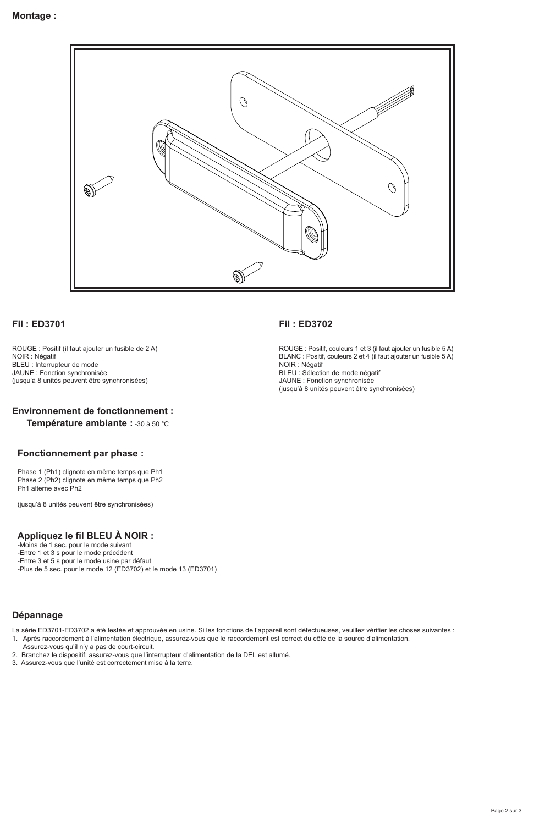

#### **Fil : ED3701**

ROUGE : Positif (il faut ajouter un fusible de 2 A) NOIR : Négatif BLEU : Interrupteur de mode JAUNE : Fonction synchronisée (jusqu'à 8 unités peuvent être synchronisées)

# **Environnement de fonctionnement :**

**Température ambiante :** -30 à 50 °C

#### **Fonctionnement par phase :**

Phase 1 (Ph1) clignote en même temps que Ph1 Phase 2 (Ph2) clignote en même temps que Ph2 Ph1 alterne avec Ph2

(jusqu'à 8 unités peuvent être synchronisées)

## **Appliquez le fil BLEU À NOIR :**

-Moins de 1 sec. pour le mode suivant -Entre 1 et 3 s pour le mode précédent

-Entre 3 et 5 s pour le mode usine par défaut

-Plus de 5 sec. pour le mode 12 (ED3702) et le mode 13 (ED3701)

# **Dépannage**

La série ED3701-ED3702 a été testée et approuvée en usine. Si les fonctions de l'appareil sont défectueuses, veuillez vérifier les choses suivantes :

1. Après raccordement à l'alimentation électrique, assurez-vous que le raccordement est correct du côté de la source d'alimentation.

- Assurez-vous qu'il n'y a pas de court-circuit.
- 2. Branchez le dispositif; assurez-vous que l'interrupteur d'alimentation de la DEL est allumé.
- 3. Assurez-vous que l'unité est correctement mise à la terre.

#### **Fil : ED3702**

ROUGE : Positif, couleurs 1 et 3 (il faut ajouter un fusible 5 A) BLANC : Positif, couleurs 2 et 4 (il faut ajouter un fusible 5 A) NOIR : Négatif BLEU : Sélection de mode négatif JAUNE : Fonction synchronisée (jusqu'à 8 unités peuvent être synchronisées)